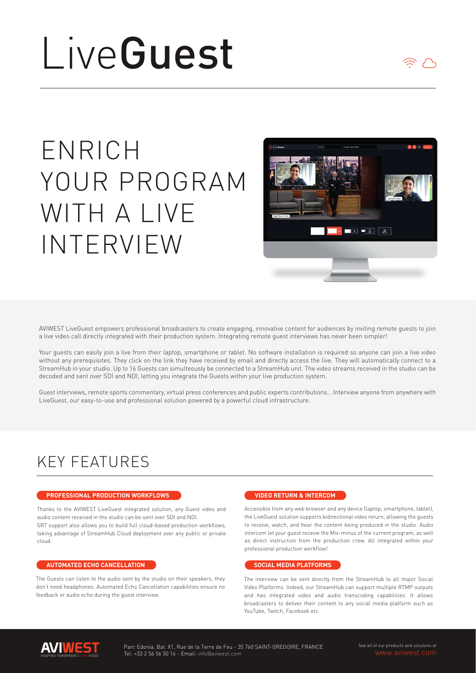# LiveGuest

# ENRICH YOUR PROGRAM WITH A LIVE INTERVIEW



AVIWEST LiveGuest empowers professional broadcasters to create engaging, innovative content for audiences by inviting remote guests to join a live video call directly integrated with their production system. Integrating remote guest interviews has never been simpler!

Your guests can easily join a live from their laptop, smartphone or tablet. No software installation is required so anyone can join a live video without any prerequisites. They click on the link they have received by email and directly access the live. They will automatically connect to a StreamHub in your studio. Up to 16 Guests can simulteously be connected to a StreamHub unit. The video streams received in the studio can be decoded and sent over SDI and NDI, letting you integrate the Guests within your live production system.

Guest interviews, remote sports commentary, virtual press conferences and public experts contributions… Interview anyone from anywhere with LiveGuest, our easy-to-use and professional solution powered by a powerful cloud infrastructure.

## KEY FEATURES

#### **PROFESSIONAL PRODUCTION WORKFLOWS**

Thanks to the AVIWEST LiveGuest integrated solution, any Guest video and audio content received in the studio can be sent over SDI and NDI. SRT support also allows you to build full cloud-based production workflows, taking advantage of StreamHub Cloud deployment over any public or private cloud.

#### **AUTOMATED ECHO CANCELLATION**

The Guests can listen to the audio sent by the studio on their speakers, they don't need headphones. Automated Echo Cancellation capabilities ensure no feedback or audio echo during the guest interview.

#### **VIDEO RETURN & INTERCOM**

Accessible from any web browser and any device (laptop, smartphone, tablet), the LiveGuest solution supports bidirectional video return, allowing the guests to receive, watch, and hear the content being produced in the studio. Audio intercom let your quest receive the Mix-minus of the current program, as well as direct instruction from the production crew. All integrated within your professional production workflow!

#### **SOCIAL MEDIA PLATFORMS**

The interview can be sent directly from the StreamHub to all major Social Video Platforms. Indeed, our StreamHub can support multiple RTMP outputs and has integrated video and audio transcoding capabilities. It allows broadcasters to deliver their content to any social media platform such as YouTube, Twitch, Facebook etc.